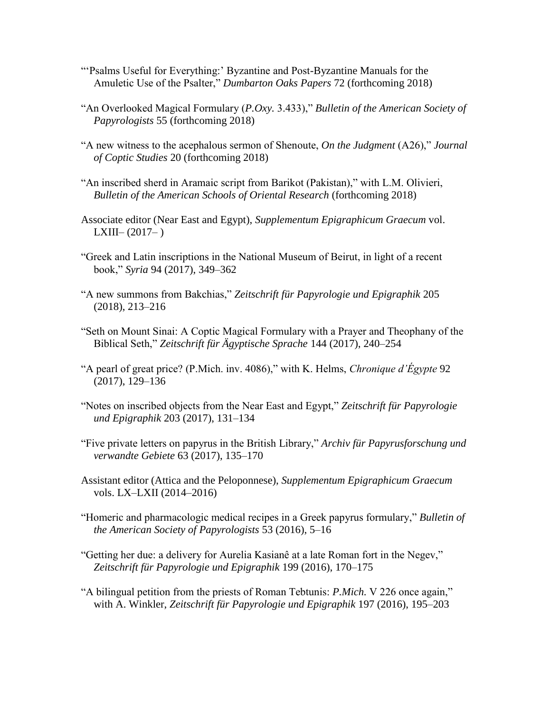- "'Psalms Useful for Everything:' Byzantine and Post-Byzantine Manuals for the Amuletic Use of the Psalter," *Dumbarton Oaks Papers* 72 (forthcoming 2018)
- "An Overlooked Magical Formulary (*P.Oxy.* 3.433)," *Bulletin of the American Society of Papyrologists* 55 (forthcoming 2018)
- "A new witness to the acephalous sermon of Shenoute, *On the Judgment* (A26)," *Journal of Coptic Studies* 20 (forthcoming 2018)
- "An inscribed sherd in Aramaic script from Barikot (Pakistan)," with L.M. Olivieri, *Bulletin of the American Schools of Oriental Research* (forthcoming 2018)
- Associate editor (Near East and Egypt), *Supplementum Epigraphicum Graecum* vol.  $LXIII-(2017-)$
- "Greek and Latin inscriptions in the National Museum of Beirut, in light of a recent book," *Syria* 94 (2017), 349–362
- "A new summons from Bakchias," *Zeitschrift für Papyrologie und Epigraphik* 205 (2018), 213–216
- "Seth on Mount Sinai: A Coptic Magical Formulary with a Prayer and Theophany of the Biblical Seth," *Zeitschrift für Ägyptische Sprache* 144 (2017), 240–254
- "A pearl of great price? (P.Mich. inv. 4086)," with K. Helms, *Chronique d'Égypte* 92 (2017), 129–136
- "Notes on inscribed objects from the Near East and Egypt," *Zeitschrift für Papyrologie und Epigraphik* 203 (2017), 131–134
- "Five private letters on papyrus in the British Library," *Archiv für Papyrusforschung und verwandte Gebiete* 63 (2017), 135–170
- Assistant editor (Attica and the Peloponnese), *Supplementum Epigraphicum Graecum*  vols. LX–LXII (2014–2016)
- "Homeric and pharmacologic medical recipes in a Greek papyrus formulary," *Bulletin of the American Society of Papyrologists* 53 (2016), 5–16
- "Getting her due: a delivery for Aurelia Kasianê at a late Roman fort in the Negev," *Zeitschrift für Papyrologie und Epigraphik* 199 (2016), 170–175
- "A bilingual petition from the priests of Roman Tebtunis: *P.Mich.* V 226 once again," with A. Winkler, *Zeitschrift für Papyrologie und Epigraphik* 197 (2016), 195–203